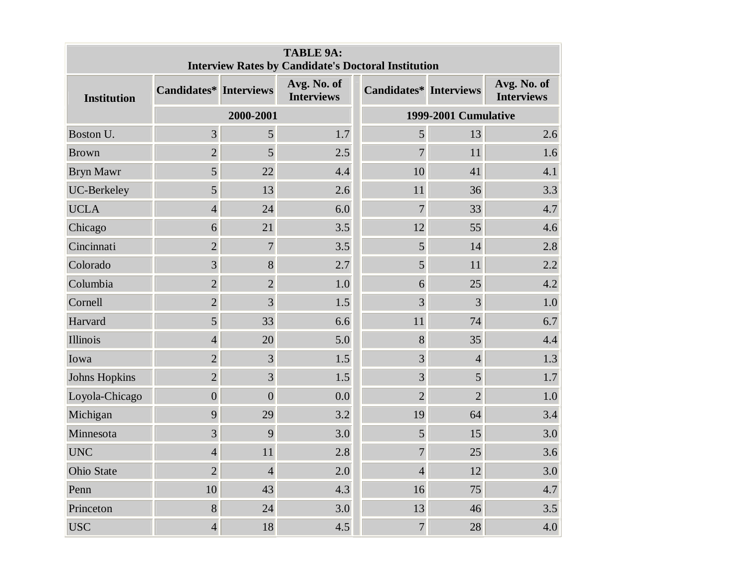| <b>TABLE 9A:</b><br><b>Interview Rates by Candidate's Doctoral Institution</b> |                  |                   |                                  |  |                               |                |                                  |
|--------------------------------------------------------------------------------|------------------|-------------------|----------------------------------|--|-------------------------------|----------------|----------------------------------|
| <b>Institution</b>                                                             | Candidates*      | <b>Interviews</b> | Avg. No. of<br><b>Interviews</b> |  | <b>Candidates*</b> Interviews |                | Avg. No. of<br><b>Interviews</b> |
|                                                                                |                  | 2000-2001         |                                  |  | 1999-2001 Cumulative          |                |                                  |
| Boston U.                                                                      | $\overline{3}$   | 5                 | 1.7                              |  | 5                             | 13             | 2.6                              |
| <b>Brown</b>                                                                   | $\overline{2}$   | 5                 | 2.5                              |  | $\overline{7}$                | 11             | 1.6                              |
| <b>Bryn Mawr</b>                                                               | 5 <sup>1</sup>   | 22                | 4.4                              |  | 10                            | 41             | 4.1                              |
| UC-Berkeley                                                                    | $5\overline{)}$  | 13                | 2.6                              |  | 11                            | 36             | 3.3                              |
| <b>UCLA</b>                                                                    | $\overline{4}$   | 24                | 6.0                              |  | $\overline{7}$                | 33             | 4.7                              |
| Chicago                                                                        | 6                | 21                | 3.5                              |  | 12                            | 55             | 4.6                              |
| Cincinnati                                                                     | $\overline{2}$   | $\overline{7}$    | 3.5                              |  | 5                             | 14             | 2.8                              |
| Colorado                                                                       | $\overline{3}$   | 8                 | 2.7                              |  | 5                             | 11             | 2.2                              |
| Columbia                                                                       | $\overline{2}$   | $\overline{2}$    | 1.0                              |  | 6                             | 25             | 4.2                              |
| Cornell                                                                        | $\overline{2}$   | 3                 | 1.5                              |  | $\overline{3}$                | 3              | 1.0                              |
| Harvard                                                                        | $\overline{5}$   | 33                | 6.6                              |  | 11                            | 74             | 6.7                              |
| Illinois                                                                       | $\overline{4}$   | 20                | 5.0                              |  | 8                             | 35             | 4.4                              |
| Iowa                                                                           | $\overline{2}$   | 3                 | 1.5                              |  | $\overline{3}$                | $\overline{4}$ | 1.3                              |
| Johns Hopkins                                                                  | $\overline{2}$   | $\overline{3}$    | 1.5                              |  | $\overline{3}$                | 5              | 1.7                              |
| Loyola-Chicago                                                                 | $\boldsymbol{0}$ | $\overline{0}$    | 0.0                              |  | $\overline{2}$                | $\overline{2}$ | 1.0                              |
| Michigan                                                                       | 9                | 29                | 3.2                              |  | 19                            | 64             | 3.4                              |
| Minnesota                                                                      | 3                | 9                 | 3.0                              |  | 5                             | 15             | 3.0                              |
| <b>UNC</b>                                                                     | $\overline{4}$   | 11                | 2.8                              |  | $\overline{7}$                | 25             | 3.6                              |
| Ohio State                                                                     | $\overline{2}$   | $\overline{4}$    | 2.0                              |  | $\overline{4}$                | 12             | 3.0                              |
| Penn                                                                           | 10               | 43                | 4.3                              |  | 16                            | 75             | 4.7                              |
| Princeton                                                                      | 8                | 24                | 3.0                              |  | 13                            | 46             | 3.5                              |
| <b>USC</b>                                                                     | $\overline{4}$   | 18                | 4.5                              |  | $\overline{7}$                | 28             | 4.0                              |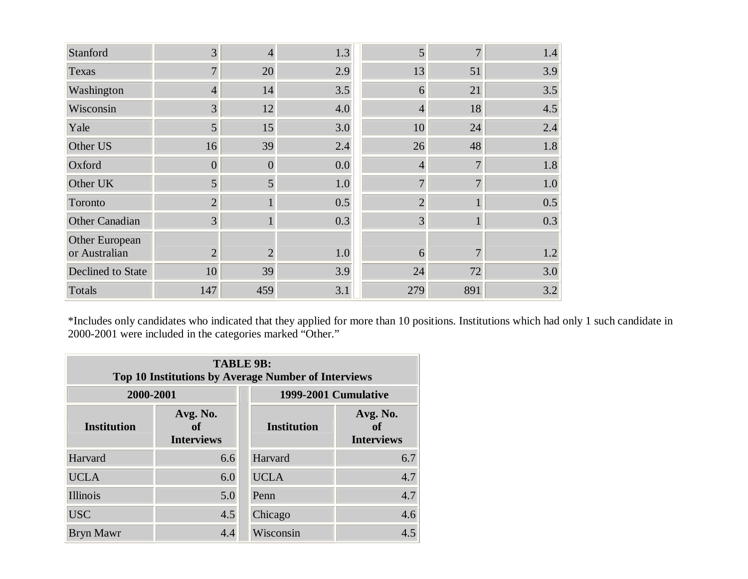| Stanford                        | 3              | 4              | 1.3 | 5              | 7              | 1.4 |
|---------------------------------|----------------|----------------|-----|----------------|----------------|-----|
| Texas                           | $\overline{7}$ | 20             | 2.9 | 13             | 51             | 3.9 |
| Washington                      | $\overline{4}$ | 14             | 3.5 | 6              | 21             | 3.5 |
| Wisconsin                       | 3              | 12             | 4.0 | $\overline{4}$ | 18             | 4.5 |
| Yale                            | 5              | 15             | 3.0 | 10             | 24             | 2.4 |
| Other US                        | 16             | 39             | 2.4 | 26             | 48             | 1.8 |
| Oxford                          | $\overline{0}$ | $\overline{0}$ | 0.0 | $\overline{4}$ | $\overline{7}$ | 1.8 |
| Other UK                        | 5              | 5              | 1.0 | 7              | 7              | 1.0 |
| Toronto                         | $\overline{2}$ |                | 0.5 | $\overline{2}$ |                | 0.5 |
| Other Canadian                  | $\overline{3}$ |                | 0.3 | 3              |                | 0.3 |
| Other European<br>or Australian | $\overline{2}$ | $\overline{2}$ | 1.0 | 6              |                | 1.2 |
| Declined to State               | 10             | 39             | 3.9 | 24             | 72             | 3.0 |
| Totals                          | 147            | 459            | 3.1 | 279            | 891            | 3.2 |

\*Includes only candidates who indicated that they applied for more than 10 positions. Institutions which had only 1 such candidate in 2000-2001 were included in the categories marked "Other."

| <b>TABLE 9B:</b><br>Top 10 Institutions by Average Number of Interviews |                                     |                      |                                     |  |  |  |
|-------------------------------------------------------------------------|-------------------------------------|----------------------|-------------------------------------|--|--|--|
| 2000-2001                                                               |                                     | 1999-2001 Cumulative |                                     |  |  |  |
| <b>Institution</b>                                                      | Avg. No.<br>of<br><b>Interviews</b> | <b>Institution</b>   | Avg. No.<br>of<br><b>Interviews</b> |  |  |  |
| Harvard                                                                 | 6.6                                 | Harvard              | 6.7                                 |  |  |  |
| <b>UCLA</b>                                                             | 6.0                                 | <b>UCLA</b>          | 4.7                                 |  |  |  |
| Illinois                                                                | 5.0                                 | Penn                 | 4.7                                 |  |  |  |
| <b>USC</b>                                                              | 4.5                                 | Chicago              | 4.6                                 |  |  |  |
| <b>Bryn Mawr</b>                                                        | 4.4                                 | Wisconsin            | 4.5                                 |  |  |  |